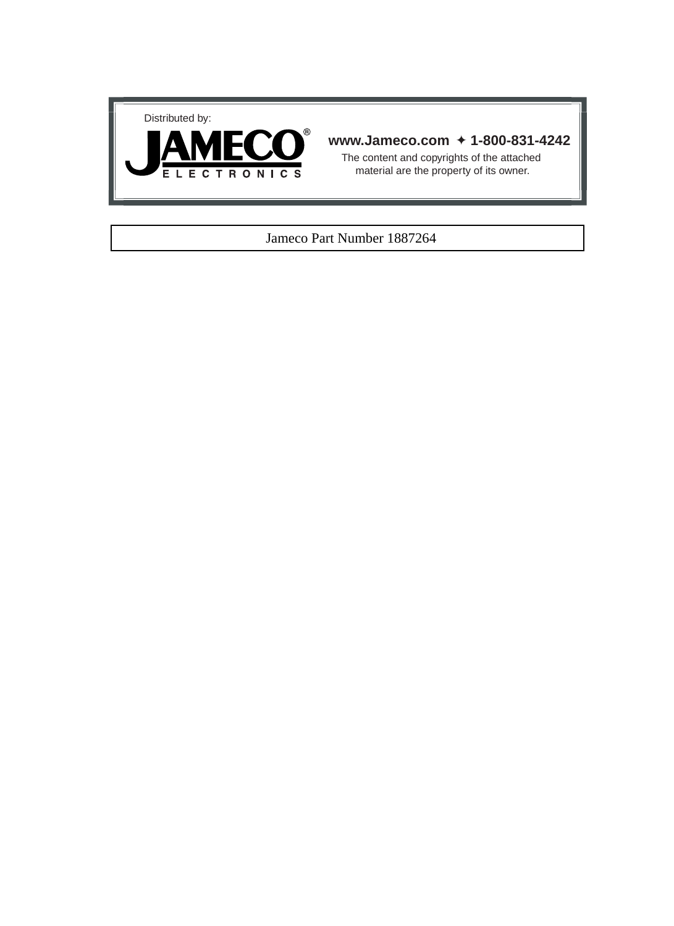



## **www.Jameco.com** ✦ **1-800-831-4242**

The content and copyrights of the attached material are the property of its owner.

## Jameco Part Number 1887264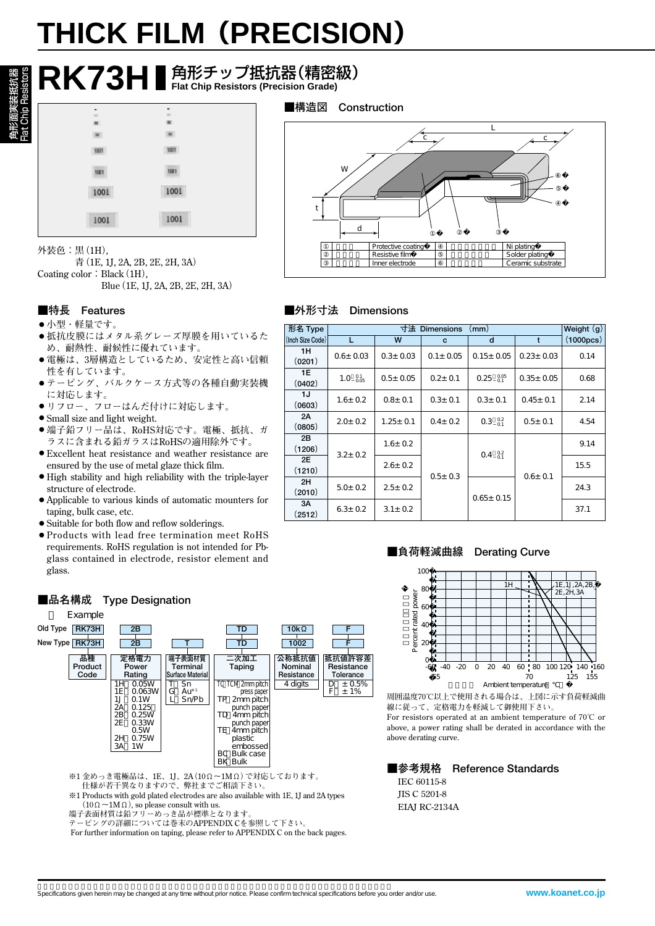# **THICK FILM(PRECISION)**

|      |      | $\mathsf{R}$ K73H I 角形チップ抵抗器(精密級) |
|------|------|-----------------------------------|
|      |      | ■構造図<br>Con                       |
|      |      |                                   |
|      |      |                                   |
| 1001 | 1001 |                                   |
|      | 1001 | W                                 |
| 1001 | 1001 |                                   |
| 1001 | 1001 |                                   |

**外装色:黒(1H),**

**青(1E, 1J, 2A, 2B, 2E, 2H, 3A)** Coating color: Black (1H), **Blue(1E, 1J, 2A, 2B, 2E, 2H, 3A)**

# **■特長 Features**

#### ● 小型・軽量です。

- 抵抗皮膜にはメタル系グレーズ厚膜を用いているた **め、耐熱性、耐候性に優れています。**
- **● 電極は、3層構造としているため、安定性と高い信頼 性を有しています。**
- **● テーピング、バルクケース方式等の各種自動実装機 に対応します。**
- **● リフロー、フローはんだ付けに対応します。**
- **● Small size and light weight.**
- **● 端子鉛フリー品は、RoHS対応です。電極、抵抗、ガ ラスに含まれる鉛ガラスはRoHSの適用除外です。 ● Excellent heat resistance and weather resistance are**
- **ensured by the use of metal glaze thick film.**
- **● High stability and high reliability with the triple-layer structure of electrode.**
- **● Applicable to various kinds of automatic mounters for taping, bulk case, etc.**
- **● Suitable for both flow and reflow solderings.**
- **● Products with lead free termination meet RoHS requirements. RoHS regulation is not intended for Pbglass contained in electrode, resistor element and glass.**



- **※1 金めっき電極品は、1E、1J、2A(10Ω~1MΩ)で対応しております。**
- **仕様が若干異なりますので、弊社までご相談下さい。 ※1 Products with gold plated electrodes are also available with 1E, 1J and 2A types (10Ω~1MΩ), so please consult with us.**
- **端子表面材質は鉛フリーめっき品が標準となります**
- **テーピングの詳細については巻末のAPPENDIX Cを参照して下さい。**

**For further information on taping, please refer to APPENDIX C on the back pages.** 





## **■外形寸法 Dimensions**

| 形名 Type          | 寸法 Dimensions<br>(mm) |                |               |                          |                 |           |  |
|------------------|-----------------------|----------------|---------------|--------------------------|-----------------|-----------|--|
| (Inch Size Code) | L                     | W              | C             | d                        | t               | (1000pcs) |  |
| 1H<br>(0201)     | $0.6 \pm 0.03$        | $0.3 \pm 0.03$ | $0.1 + 0.05$  | $0.15 \pm 0.05$          | $0.23 \pm 0.03$ | 0.14      |  |
| 1E<br>(0402)     | $1.0 \t{0.1}{0.05}$   | $0.5 \pm 0.05$ | $0.2 \pm 0.1$ | $0.25~^{0.05}_{0.1}$     | $0.35 \pm 0.05$ | 0.68      |  |
| 1J<br>(0603)     | $1.6 \pm 0.2$         | $0.8 + 0.1$    | $0.3 \pm 0.1$ | $0.3 + 0.1$              | $0.45 \pm 0.1$  | 2.14      |  |
| 2A<br>(0805)     | $2.0 + 0.2$           | $1.25 \pm 0.1$ | $0.4 \pm 0.2$ | $0.3\substack{0.2\\0.1}$ | $0.5 \pm 0.1$   | 4.54      |  |
| 2B<br>(1206)     | $3.2 + 0.2$           | $1.6 \pm 0.2$  |               | $0.4\substack{0.2\\0.1}$ |                 | 9.14      |  |
| 2E<br>(1210)     |                       | $2.6 \pm 0.2$  | $0.5 \pm 0.3$ |                          | $0.6 + 0.1$     | 15.5      |  |
| 2H<br>(2010)     | $5.0 + 0.2$           | $2.5 \pm 0.2$  |               | $0.65 \pm 0.15$          |                 | 24.3      |  |
| 3A<br>(2512)     | $6.3 \pm 0.2$         | $3.1 \pm 0.2$  |               |                          |                 | 37.1      |  |

#### **■負荷軽減曲線 Derating Curve**



**周囲温度70℃以上で使用される場合は、上図に示す負荷軽減曲 線に従って、定格電力を軽減して御使用下さい。**

**For resistors operated at an ambient temperature of 70℃ or above, a power rating shall be derated in accordance with the above derating curve.**

**■参考規格 Reference Standards IEC 60115-8 JIS C 5201-8**

**EIAJ RC-2134A**

### **■品名構成 Type Designation**